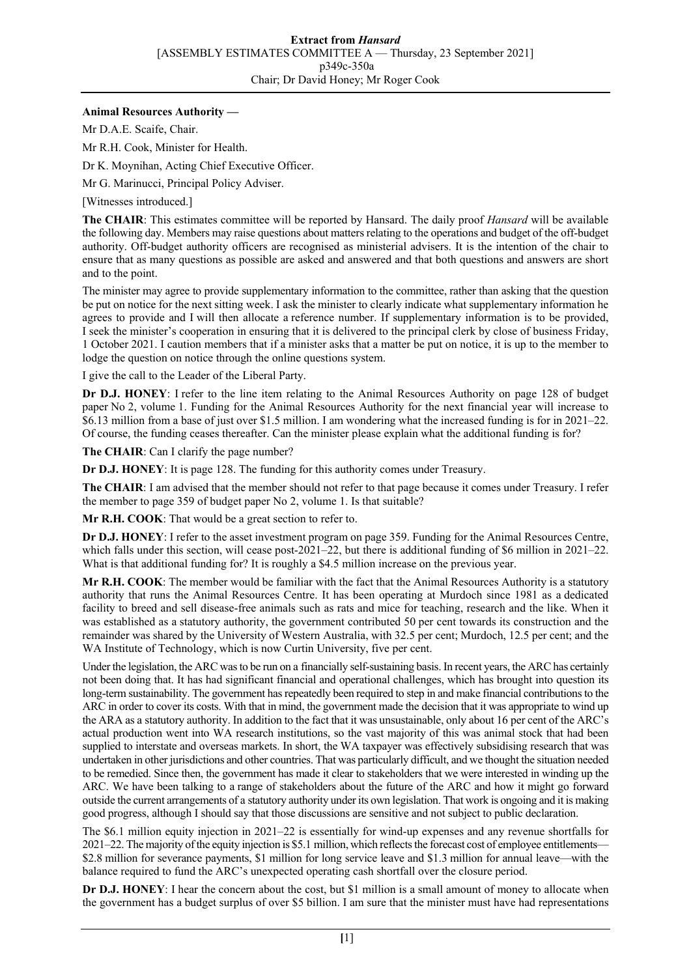## **Animal Resources Authority —**

Mr D.A.E. Scaife, Chair.

Mr R.H. Cook, Minister for Health.

Dr K. Moynihan, Acting Chief Executive Officer.

Mr G. Marinucci, Principal Policy Adviser.

[Witnesses introduced.]

**The CHAIR**: This estimates committee will be reported by Hansard. The daily proof *Hansard* will be available the following day. Members may raise questions about matters relating to the operations and budget of the off-budget authority. Off-budget authority officers are recognised as ministerial advisers. It is the intention of the chair to ensure that as many questions as possible are asked and answered and that both questions and answers are short and to the point.

The minister may agree to provide supplementary information to the committee, rather than asking that the question be put on notice for the next sitting week. I ask the minister to clearly indicate what supplementary information he agrees to provide and I will then allocate a reference number. If supplementary information is to be provided, I seek the minister's cooperation in ensuring that it is delivered to the principal clerk by close of business Friday, 1 October 2021. I caution members that if a minister asks that a matter be put on notice, it is up to the member to lodge the question on notice through the online questions system.

I give the call to the Leader of the Liberal Party.

**Dr D.J. HONEY**: I refer to the line item relating to the Animal Resources Authority on page 128 of budget paper No 2, volume 1. Funding for the Animal Resources Authority for the next financial year will increase to \$6.13 million from a base of just over \$1.5 million. I am wondering what the increased funding is for in 2021–22. Of course, the funding ceases thereafter. Can the minister please explain what the additional funding is for?

**The CHAIR**: Can I clarify the page number?

**Dr D.J. HONEY**: It is page 128. The funding for this authority comes under Treasury.

**The CHAIR**: I am advised that the member should not refer to that page because it comes under Treasury. I refer the member to page 359 of budget paper No 2, volume 1. Is that suitable?

**Mr R.H. COOK**: That would be a great section to refer to.

**Dr D.J. HONEY**: I refer to the asset investment program on page 359. Funding for the Animal Resources Centre, which falls under this section, will cease post-2021–22, but there is additional funding of \$6 million in 2021–22. What is that additional funding for? It is roughly a \$4.5 million increase on the previous year.

**Mr R.H. COOK**: The member would be familiar with the fact that the Animal Resources Authority is a statutory authority that runs the Animal Resources Centre. It has been operating at Murdoch since 1981 as a dedicated facility to breed and sell disease-free animals such as rats and mice for teaching, research and the like. When it was established as a statutory authority, the government contributed 50 per cent towards its construction and the remainder was shared by the University of Western Australia, with 32.5 per cent; Murdoch, 12.5 per cent; and the WA Institute of Technology, which is now Curtin University, five per cent.

Under the legislation, the ARC was to be run on a financially self-sustaining basis. In recent years, the ARC has certainly not been doing that. It has had significant financial and operational challenges, which has brought into question its long-term sustainability. The government has repeatedly been required to step in and make financial contributions to the ARC in order to cover its costs. With that in mind, the government made the decision that it was appropriate to wind up the ARA as a statutory authority. In addition to the fact that it was unsustainable, only about 16 per cent of the ARC's actual production went into WA research institutions, so the vast majority of this was animal stock that had been supplied to interstate and overseas markets. In short, the WA taxpayer was effectively subsidising research that was undertaken in other jurisdictions and other countries. That was particularly difficult, and we thought the situation needed to be remedied. Since then, the government has made it clear to stakeholders that we were interested in winding up the ARC. We have been talking to a range of stakeholders about the future of the ARC and how it might go forward outside the current arrangements of a statutory authority under its own legislation. That work is ongoing and it is making good progress, although I should say that those discussions are sensitive and not subject to public declaration.

The \$6.1 million equity injection in 2021–22 is essentially for wind-up expenses and any revenue shortfalls for 2021–22. The majority of the equity injection is \$5.1 million, which reflects the forecast cost of employee entitlements— \$2.8 million for severance payments, \$1 million for long service leave and \$1.3 million for annual leave—with the balance required to fund the ARC's unexpected operating cash shortfall over the closure period.

**Dr D.J. HONEY**: I hear the concern about the cost, but \$1 million is a small amount of money to allocate when the government has a budget surplus of over \$5 billion. I am sure that the minister must have had representations